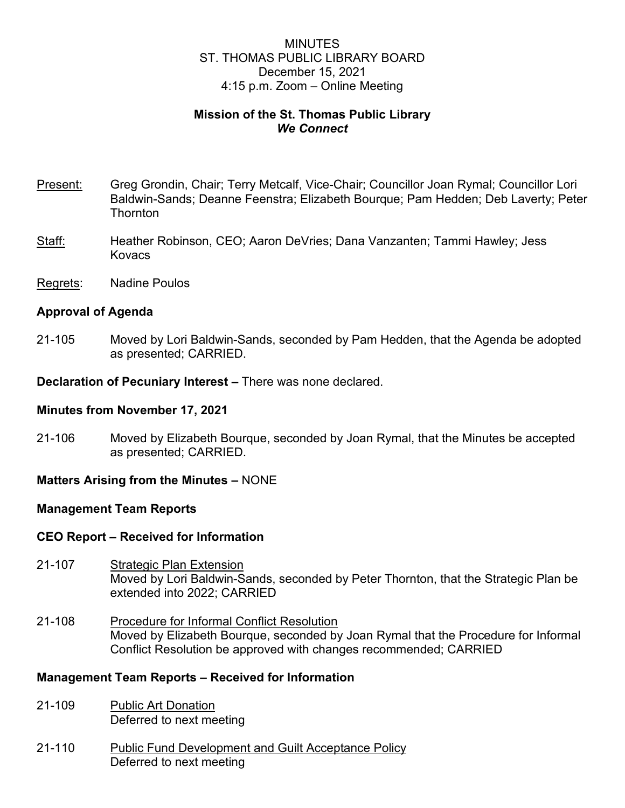# MINUTES ST. THOMAS PUBLIC LIBRARY BOARD December 15, 2021 4:15 p.m. Zoom – Online Meeting

# **Mission of the St. Thomas Public Library** *We Connect*

- Present: Greg Grondin, Chair; Terry Metcalf, Vice-Chair; Councillor Joan Rymal; Councillor Lori Baldwin-Sands; Deanne Feenstra; Elizabeth Bourque; Pam Hedden; Deb Laverty; Peter **Thornton**
- Staff: Heather Robinson, CEO; Aaron DeVries; Dana Vanzanten; Tammi Hawley; Jess Kovacs
- Regrets: Nadine Poulos

### **Approval of Agenda**

21-105 Moved by Lori Baldwin-Sands, seconded by Pam Hedden, that the Agenda be adopted as presented; CARRIED.

**Declaration of Pecuniary Interest –** There was none declared.

### **Minutes from November 17, 2021**

21-106 Moved by Elizabeth Bourque, seconded by Joan Rymal, that the Minutes be accepted as presented; CARRIED.

### **Matters Arising from the Minutes –** NONE

### **Management Team Reports**

### **CEO Report – Received for Information**

- 21-107 Strategic Plan Extension Moved by Lori Baldwin-Sands, seconded by Peter Thornton, that the Strategic Plan be extended into 2022; CARRIED
- 21-108 Procedure for Informal Conflict Resolution Moved by Elizabeth Bourque, seconded by Joan Rymal that the Procedure for Informal Conflict Resolution be approved with changes recommended; CARRIED

# **Management Team Reports – Received for Information**

- 21-109 Public Art Donation Deferred to next meeting
- 21-110 Public Fund Development and Guilt Acceptance Policy Deferred to next meeting